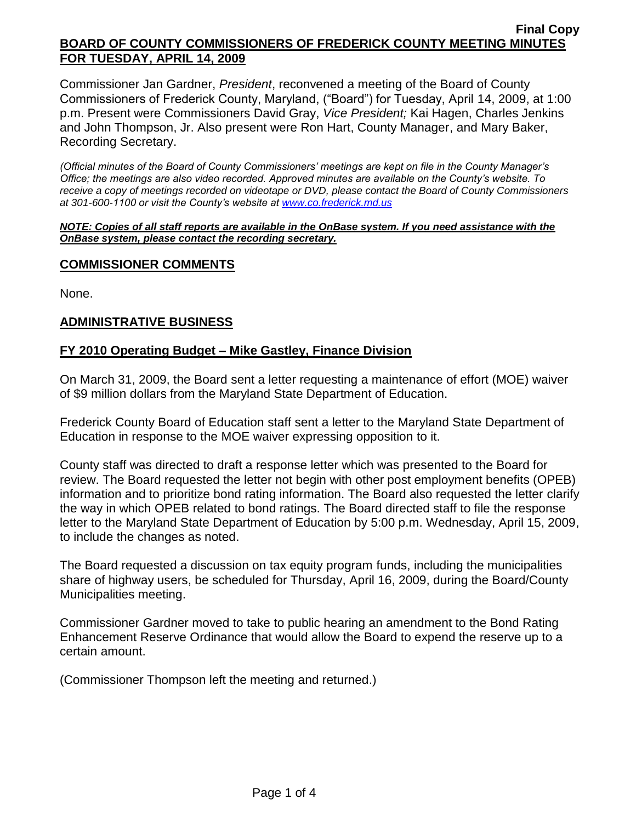Commissioner Jan Gardner, *President*, reconvened a meeting of the Board of County Commissioners of Frederick County, Maryland, ("Board") for Tuesday, April 14, 2009, at 1:00 p.m. Present were Commissioners David Gray, *Vice President;* Kai Hagen, Charles Jenkins and John Thompson, Jr. Also present were Ron Hart, County Manager, and Mary Baker, Recording Secretary.

*(Official minutes of the Board of County Commissioners' meetings are kept on file in the County Manager's Office; the meetings are also video recorded. Approved minutes are available on the County's website. To receive a copy of meetings recorded on videotape or DVD, please contact the Board of County Commissioners at 301-600-1100 or visit the County's website at [www.co.frederick.md.us](http://www.co.frederick.md.us/)*

#### *NOTE: Copies of all staff reports are available in the OnBase system. If you need assistance with the OnBase system, please contact the recording secretary.*

### **COMMISSIONER COMMENTS**

None.

## **ADMINISTRATIVE BUSINESS**

### **FY 2010 Operating Budget – Mike Gastley, Finance Division**

On March 31, 2009, the Board sent a letter requesting a maintenance of effort (MOE) waiver of \$9 million dollars from the Maryland State Department of Education.

Frederick County Board of Education staff sent a letter to the Maryland State Department of Education in response to the MOE waiver expressing opposition to it.

County staff was directed to draft a response letter which was presented to the Board for review. The Board requested the letter not begin with other post employment benefits (OPEB) information and to prioritize bond rating information. The Board also requested the letter clarify the way in which OPEB related to bond ratings. The Board directed staff to file the response letter to the Maryland State Department of Education by 5:00 p.m. Wednesday, April 15, 2009, to include the changes as noted.

The Board requested a discussion on tax equity program funds, including the municipalities share of highway users, be scheduled for Thursday, April 16, 2009, during the Board/County Municipalities meeting.

Commissioner Gardner moved to take to public hearing an amendment to the Bond Rating Enhancement Reserve Ordinance that would allow the Board to expend the reserve up to a certain amount.

(Commissioner Thompson left the meeting and returned.)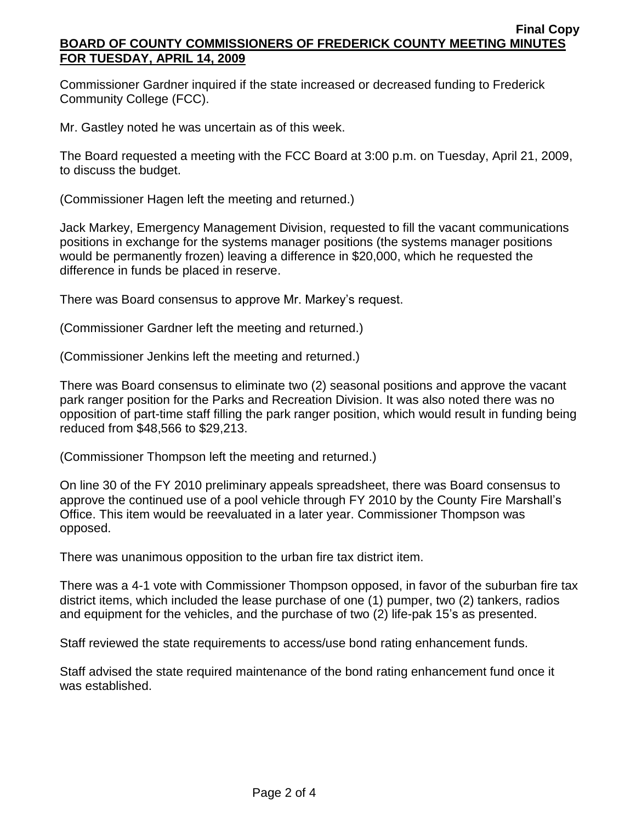Commissioner Gardner inquired if the state increased or decreased funding to Frederick Community College (FCC).

Mr. Gastley noted he was uncertain as of this week.

The Board requested a meeting with the FCC Board at 3:00 p.m. on Tuesday, April 21, 2009, to discuss the budget.

(Commissioner Hagen left the meeting and returned.)

Jack Markey, Emergency Management Division, requested to fill the vacant communications positions in exchange for the systems manager positions (the systems manager positions would be permanently frozen) leaving a difference in \$20,000, which he requested the difference in funds be placed in reserve.

There was Board consensus to approve Mr. Markey's request.

(Commissioner Gardner left the meeting and returned.)

(Commissioner Jenkins left the meeting and returned.)

There was Board consensus to eliminate two (2) seasonal positions and approve the vacant park ranger position for the Parks and Recreation Division. It was also noted there was no opposition of part-time staff filling the park ranger position, which would result in funding being reduced from \$48,566 to \$29,213.

(Commissioner Thompson left the meeting and returned.)

On line 30 of the FY 2010 preliminary appeals spreadsheet, there was Board consensus to approve the continued use of a pool vehicle through FY 2010 by the County Fire Marshall's Office. This item would be reevaluated in a later year. Commissioner Thompson was opposed.

There was unanimous opposition to the urban fire tax district item.

There was a 4-1 vote with Commissioner Thompson opposed, in favor of the suburban fire tax district items, which included the lease purchase of one (1) pumper, two (2) tankers, radios and equipment for the vehicles, and the purchase of two (2) life-pak 15's as presented.

Staff reviewed the state requirements to access/use bond rating enhancement funds.

Staff advised the state required maintenance of the bond rating enhancement fund once it was established.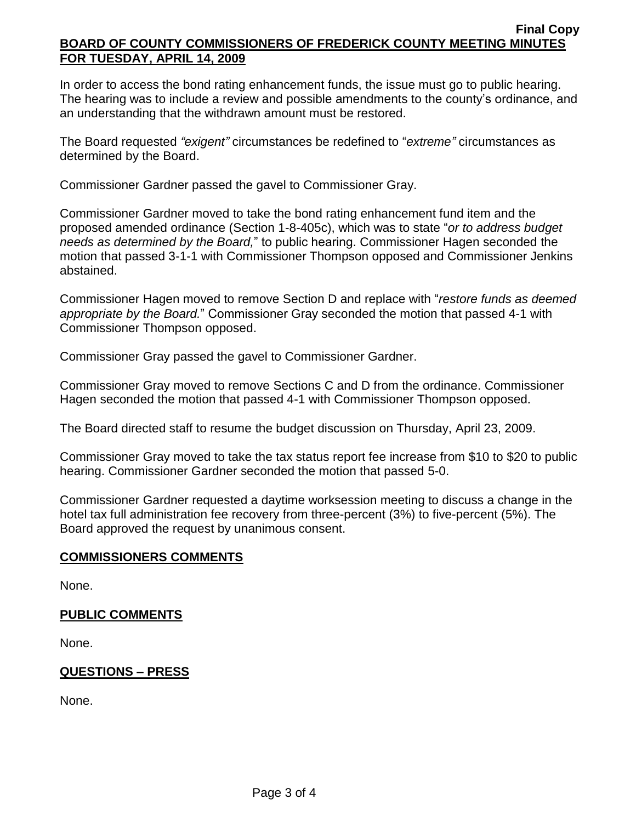In order to access the bond rating enhancement funds, the issue must go to public hearing. The hearing was to include a review and possible amendments to the county's ordinance, and an understanding that the withdrawn amount must be restored.

The Board requested *"exigent"* circumstances be redefined to "*extreme"* circumstances as determined by the Board.

Commissioner Gardner passed the gavel to Commissioner Gray.

Commissioner Gardner moved to take the bond rating enhancement fund item and the proposed amended ordinance (Section 1-8-405c), which was to state "*or to address budget needs as determined by the Board,*" to public hearing. Commissioner Hagen seconded the motion that passed 3-1-1 with Commissioner Thompson opposed and Commissioner Jenkins abstained.

Commissioner Hagen moved to remove Section D and replace with "*restore funds as deemed appropriate by the Board.*" Commissioner Gray seconded the motion that passed 4-1 with Commissioner Thompson opposed.

Commissioner Gray passed the gavel to Commissioner Gardner.

Commissioner Gray moved to remove Sections C and D from the ordinance. Commissioner Hagen seconded the motion that passed 4-1 with Commissioner Thompson opposed.

The Board directed staff to resume the budget discussion on Thursday, April 23, 2009.

Commissioner Gray moved to take the tax status report fee increase from \$10 to \$20 to public hearing. Commissioner Gardner seconded the motion that passed 5-0.

Commissioner Gardner requested a daytime worksession meeting to discuss a change in the hotel tax full administration fee recovery from three-percent (3%) to five-percent (5%). The Board approved the request by unanimous consent.

## **COMMISSIONERS COMMENTS**

None.

## **PUBLIC COMMENTS**

None.

## **QUESTIONS – PRESS**

None.